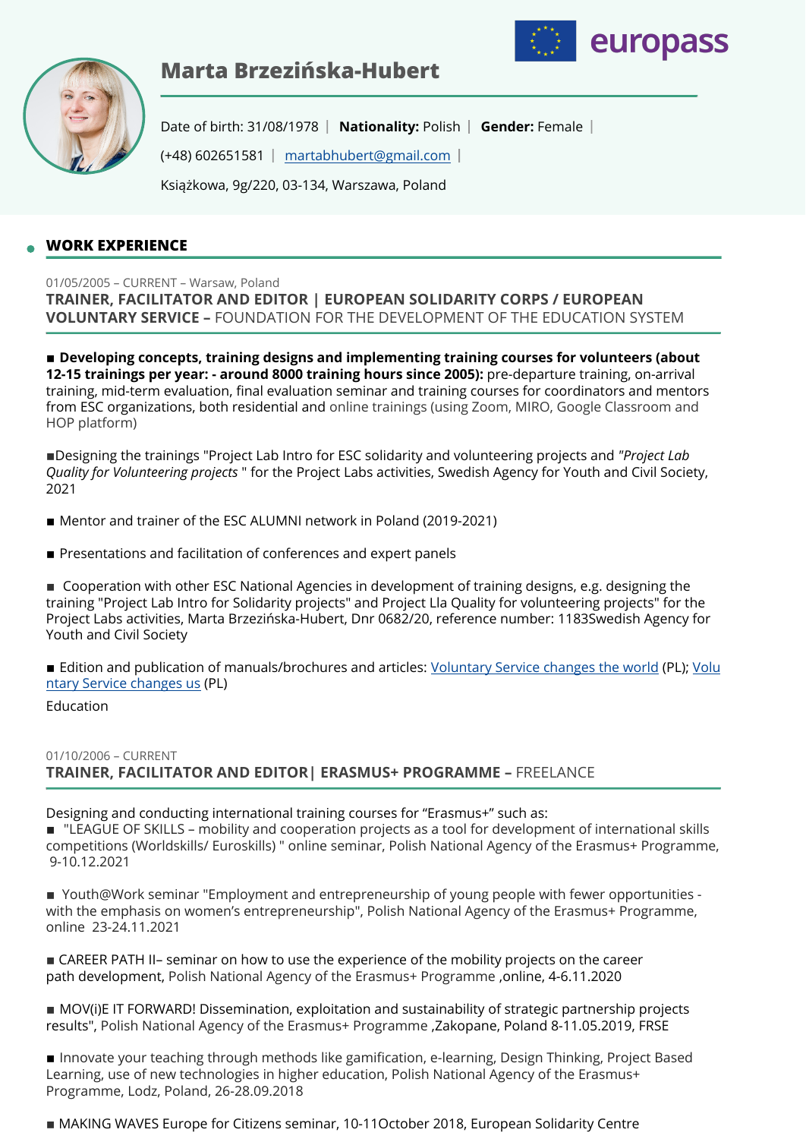

europass



Date of birth: 31/08/1978 | Nationality: Polish | Gender: Female | (+48) 602651581 [martabhubert@gmail.com](mailto:martabhubert@gmail.com)

Książkowa, 9g/220, 03-134, Warszawa, Poland

# **WORK EXPERIENCE**

# 01/05/2005 – CURRENT – Warsaw, Poland **TRAINER, FACILITATOR AND EDITOR | EUROPEAN SOLIDARITY CORPS / EUROPEAN VOLUNTARY SERVICE –** FOUNDATION FOR THE DEVELOPMENT OF THE EDUCATION SYSTEM

**EXP** Developing concepts, training designs and implementing training courses for volunteers (about **12-15 trainings per year: - around 8000 training hours since 2005):** pre-departure training, on-arrival training, mid-term evaluation, final evaluation seminar and training courses for coordinators and mentors from ESC organizations, both residential and online trainings (using Zoom, MIRO, Google Classroom and HOP platform)

▪Designing the trainings "Project Lab Intro for ESC solidarity and volunteering projects and *"Project Lab Quality for Volunteering projects* " for the Project Labs activities, Swedish Agency for Youth and Civil Society, 2021

- Mentor and trainer of the ESC ALUMNI network in Poland (2019-2021)
- **EXP** Presentations and facilitation of conferences and expert panels

■ Cooperation with other ESC National Agencies in development of training designs, e.g. designing the training "Project Lab Intro for Solidarity projects" and Project Lla Quality for volunteering projects" for the Project Labs activities, Marta Brzezińska-Hubert, Dnr 0682/20, reference number: 1183Swedish Agency for Youth and Civil Society

■ Edition and publication of manuals/brochures and articles: [Voluntary Service changes the world](http://czytelnia.frse.org.pl/wolontariat-zmienia-swiat/) (PL); [Volu](http://czytelnia.frse.org.pl/wolontariat-zmienia-nas/) [ntary Service changes us](http://czytelnia.frse.org.pl/wolontariat-zmienia-nas/) (PL)

### Education

# 01/10/2006 – CURRENT **TRAINER, FACILITATOR AND EDITOR| ERASMUS+ PROGRAMME –** FREELANCE

Designing and conducting international training courses for "Erasmus+" such as:

■ "LEAGUE OF SKILLS – mobility and cooperation projects as a tool for development of international skills competitions (Worldskills/ Euroskills) " online seminar, Polish National Agency of the Erasmus+ Programme, 9-10.12.2021

■ Youth@Work seminar "Employment and entrepreneurship of young people with fewer opportunities with the emphasis on women's entrepreneurship", Polish National Agency of the Erasmus+ Programme, online 23-24.11.2021

**EXAMPER PATH II– seminar on how to use the experience of the mobility projects on the career** path development, Polish National Agency of the Erasmus+ Programme ,online, 4-6.11.2020

■ MOV(i)E IT FORWARD! Dissemination, exploitation and sustainability of strategic partnership projects results", Polish National Agency of the Erasmus+ Programme ,Zakopane, Poland 8-11.05.2019, FRSE

**Innovate your teaching through methods like gamification, e-learning, Design Thinking, Project Based** Learning, use of new technologies in higher education, Polish National Agency of the Erasmus+ Programme, Lodz, Poland, 26-28.09.2018

■ MAKING WAVES Europe for Citizens seminar, 10-11October 2018, European Solidarity Centre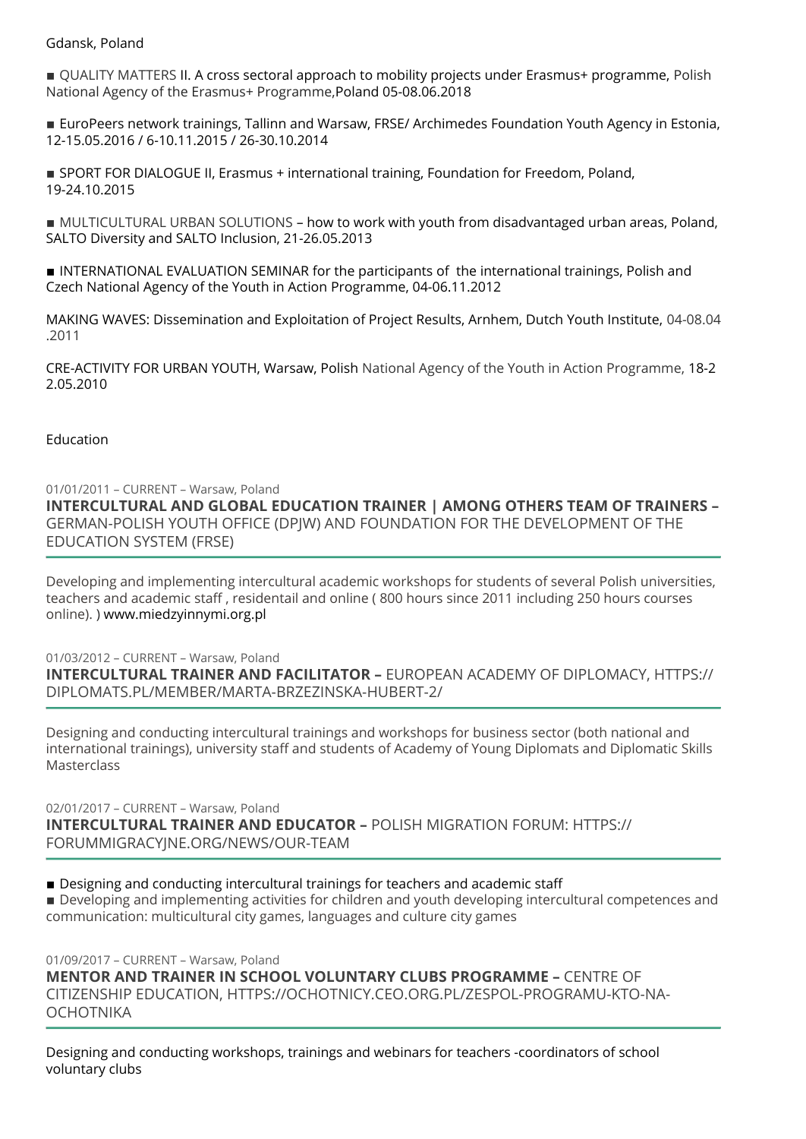Gdansk, Poland

■ OUALITY MATTERS II. A cross sectoral approach to mobility projects under Erasmus+ programme, Polish National Agency of the Erasmus+ Programme,Poland 05-08.06.2018

■ EuroPeers network trainings, Tallinn and Warsaw, FRSE/ Archimedes Foundation Youth Agency in Estonia, 12-15.05.2016 / 6-10.11.2015 / 26-30.10.2014

**EXPORT FOR DIALOGUE II, Erasmus + international training, Foundation for Freedom, Poland,** 19-24.10.2015

■ MULTICULTURAL URBAN SOLUTIONS – how to work with youth from disadvantaged urban areas, Poland, SALTO Diversity and SALTO Inclusion, 21-26.05.2013

**INTERNATIONAL EVALUATION SEMINAR for the participants of the international trainings, Polish and** Czech National Agency of the Youth in Action Programme, 04-06.11.2012

MAKING WAVES: Dissemination and Exploitation of Project Results, Arnhem, Dutch Youth Institute, 04-08.04 .2011

CRE-ACTIVITY FOR URBAN YOUTH, Warsaw, Polish National Agency of the Youth in Action Programme, 18-2 2.05.2010

Education

01/01/2011 – CURRENT – Warsaw, Poland **INTERCULTURAL AND GLOBAL EDUCATION TRAINER | AMONG OTHERS TEAM OF TRAINERS –** GERMAN-POLISH YOUTH OFFICE (DPJW) AND FOUNDATION FOR THE DEVELOPMENT OF THE EDUCATION SYSTEM (FRSE)

Developing and implementing intercultural academic workshops for students of several Polish universities, teachers and academic staff , residentail and online ( 800 hours since 2011 including 250 hours courses online). ) www.miedzyinnymi.org.pl

01/03/2012 – CURRENT – Warsaw, Poland

**INTERCULTURAL TRAINER AND FACILITATOR –** EUROPEAN ACADEMY OF DIPLOMACY, HTTPS:// DIPLOMATS.PL/MEMBER/MARTA-BRZEZINSKA-HUBERT-2/

Designing and conducting intercultural trainings and workshops for business sector (both national and international trainings), university staff and students of Academy of Young Diplomats and Diplomatic Skills **Masterclass** 

02/01/2017 – CURRENT – Warsaw, Poland **INTERCULTURAL TRAINER AND EDUCATOR –** POLISH MIGRATION FORUM: HTTPS:// FORUMMIGRACYJNE.ORG/NEWS/OUR-TEAM

**• Designing and conducting intercultural trainings for teachers and academic staff** 

**• Developing and implementing activities for children and youth developing intercultural competences and** communication: multicultural city games, languages and culture city games

01/09/2017 – CURRENT – Warsaw, Poland **MENTOR AND TRAINER IN SCHOOL VOLUNTARY CLUBS PROGRAMME –** CENTRE OF CITIZENSHIP EDUCATION, HTTPS://OCHOTNICY.CEO.ORG.PL/ZESPOL-PROGRAMU-KTO-NA-**OCHOTNIKA** 

Designing and conducting workshops, trainings and webinars for teachers -coordinators of school voluntary clubs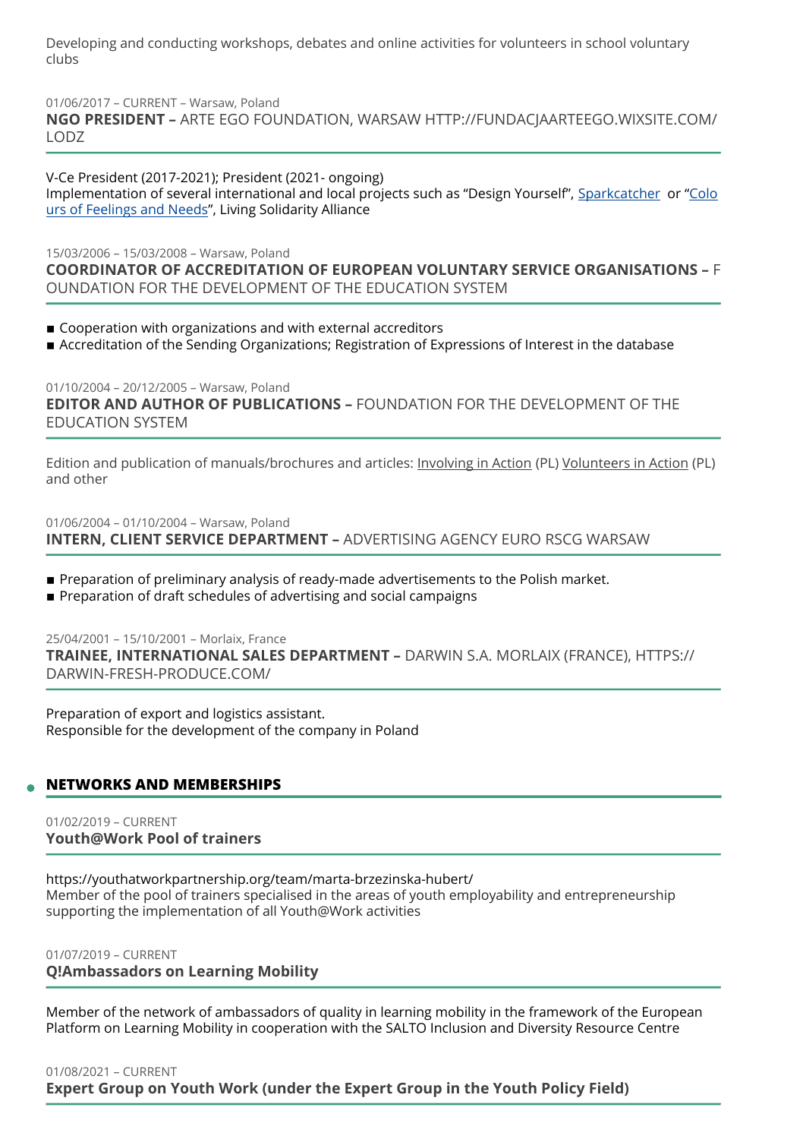Developing and conducting workshops, debates and online activities for volunteers in school voluntary clubs

01/06/2017 – CURRENT – Warsaw, Poland

**NGO PRESIDENT –** ARTE EGO FOUNDATION, WARSAW HTTP://FUNDACJAARTEEGO.WIXSITE.COM/ LODZ

V-Ce President (2017-2021); President (2021- ongoing) Implementation of several international and local projects such as "Design Yourself", [Sparkcatcher](http://www.sparkcatcher.eu/) or ["Colo](https://cardsoffeelings.wixsite.com/cards) [urs of Feelings and Needs"](https://cardsoffeelings.wixsite.com/cards), Living Solidarity Alliance

15/03/2006 – 15/03/2008 – Warsaw, Poland **COORDINATOR OF ACCREDITATION OF EUROPEAN VOLUNTARY SERVICE ORGANISATIONS –** F OUNDATION FOR THE DEVELOPMENT OF THE EDUCATION SYSTEM

- Cooperation with organizations and with external accreditors
- **Expressions of the Sending Organizations; Registration of Expressions of Interest in the database**

01/10/2004 – 20/12/2005 – Warsaw, Poland **EDITOR AND AUTHOR OF PUBLICATIONS –** FOUNDATION FOR THE DEVELOPMENT OF THE EDUCATION SYSTEM

Edition and publication of manuals/brochures and articles: [Involving in Action](http://czytelnia.frse.org.pl/wlaczanie-w-dzialanie/) (PL) [Volunteers in Action](http://czytelnia.frse.org.pl/wolontariusze-w-akcji-2005/) (PL) and other

01/06/2004 – 01/10/2004 – Warsaw, Poland **INTERN, CLIENT SERVICE DEPARTMENT –** ADVERTISING AGENCY EURO RSCG WARSAW

- **•** Preparation of preliminary analysis of ready-made advertisements to the Polish market.
- **•** Preparation of draft schedules of advertising and social campaigns

25/04/2001 – 15/10/2001 – Morlaix, France **TRAINEE, INTERNATIONAL SALES DEPARTMENT –** DARWIN S.A. MORLAIX (FRANCE), HTTPS:// DARWIN-FRESH-PRODUCE.COM/

Preparation of export and logistics assistant. Responsible for the development of the company in Poland

# **NETWORKS AND MEMBERSHIPS**

01/02/2019 – CURRENT **Youth@Work Pool of trainers** 

https://youthatworkpartnership.org/team/marta-brzezinska-hubert/ Member of the pool of trainers specialised in the areas of youth employability and entrepreneurship supporting the implementation of all Youth@Work activities

01/07/2019 – CURRENT **Q!Ambassadors on Learning Mobility** 

Member of the network of ambassadors of quality in learning mobility in the framework of the European Platform on Learning Mobility in cooperation with the SALTO Inclusion and Diversity Resource Centre

01/08/2021 – CURRENT **Expert Group on Youth Work (under the Expert Group in the Youth Policy Field)**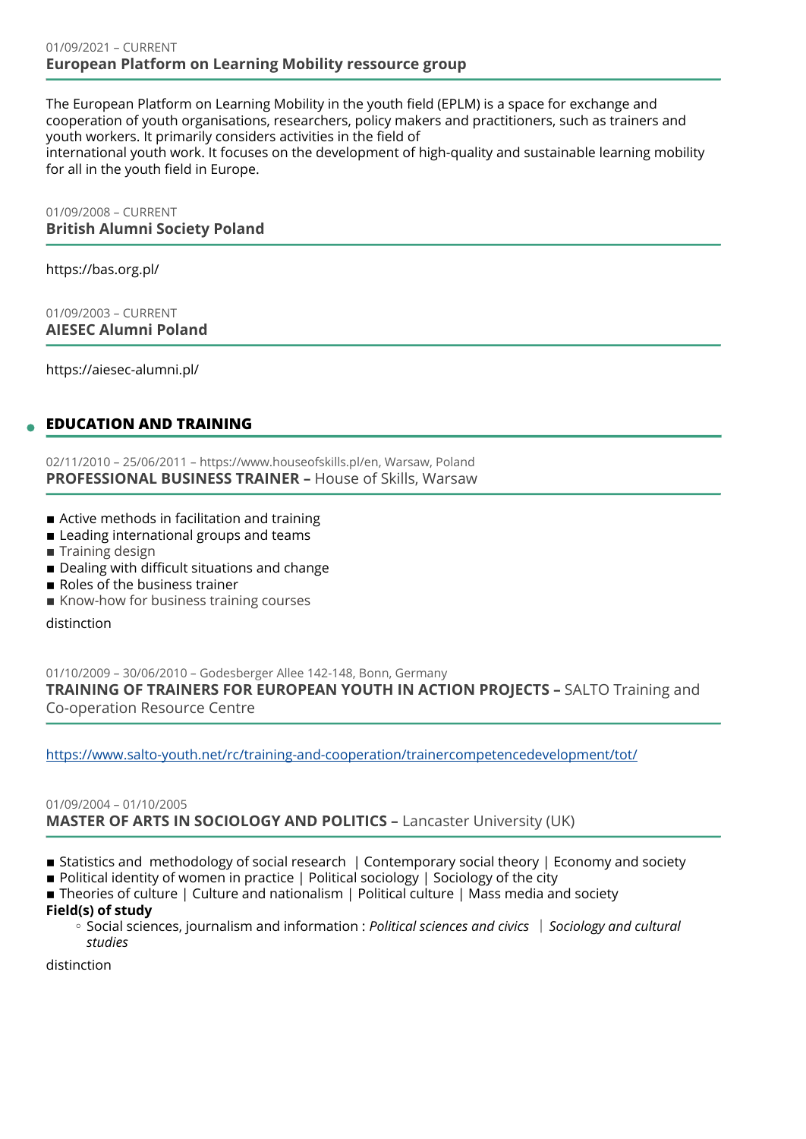#### 01/09/2021 – CURRENT **European Platform on Learning Mobility ressource group**

The European Platform on Learning Mobility in the youth field (EPLM) is a space for exchange and cooperation of youth organisations, researchers, policy makers and practitioners, such as trainers and youth workers. It primarily considers activities in the field of international youth work. It focuses on the development of high-quality and sustainable learning mobility for all in the youth field in Europe.

01/09/2008 – CURRENT **British Alumni Society Poland** 

https://bas.org.pl/

01/09/2003 – CURRENT **AIESEC Alumni Poland** 

https://aiesec-alumni.pl/

# **EDUCATION AND TRAINING**

02/11/2010 – 25/06/2011 – https://www.houseofskills.pl/en, Warsaw, Poland **PROFESSIONAL BUSINESS TRAINER –** House of Skills, Warsaw

- Active methods in facilitation and training
- Leading international groups and teams
- **Training design**
- Dealing with difficult situations and change
- Roles of the business trainer
- **EXALLENGE Know-how for business training courses**

distinction

01/10/2009 – 30/06/2010 – Godesberger Allee 142-148, Bonn, Germany **TRAINING OF TRAINERS FOR EUROPEAN YOUTH IN ACTION PROJECTS –** SALTO Training and Co-operation Resource Centre

[https://www.salto-youth.net/rc/training-and-cooperation/trainercompetencedevelopment/tot/](https://www.salto-youth.net/rc/training-and-cooperation/trainercompetencedevelopment/tot/%20)

# 01/09/2004 – 01/10/2005 **MASTER OF ARTS IN SOCIOLOGY AND POLITICS –** Lancaster University (UK)

- Statistics and methodology of social research | Contemporary social theory | Economy and society
- **Political identity of women in practice | Political sociology | Sociology of the city**
- Theories of culture | Culture and nationalism | Political culture | Mass media and society

### **Field(s) of study**

◦ Social sciences, journalism and information : *Political sciences and civics* │ Sociology and cultural *studies* 

distinction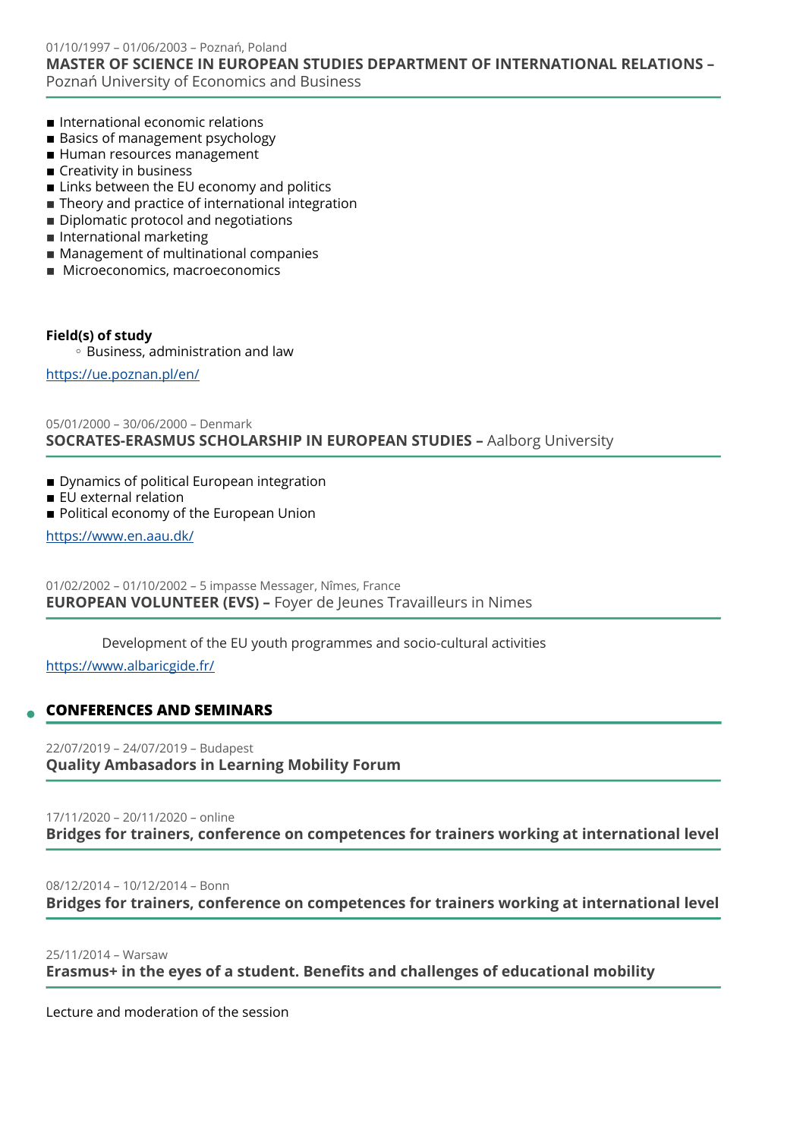01/10/1997 – 01/06/2003 – Poznań, Poland **MASTER OF SCIENCE IN EUROPEAN STUDIES DEPARTMENT OF INTERNATIONAL RELATIONS –**  Poznań University of Economics and Business

- $\blacksquare$  International economic relations
- Basics of management psychology
- $\blacksquare$  Human resources management
- $\blacksquare$  Creativity in business
- $\blacksquare$  Links between the EU economy and politics
- $\blacksquare$  Theory and practice of international integration
- **Diplomatic protocol and negotiations**
- **International marketing**
- Management of multinational companies
- Microeconomics, macroeconomics

### **Field(s) of study**

◦ Business, administration and law

<https://ue.poznan.pl/en/>

# 05/01/2000 – 30/06/2000 – Denmark **SOCRATES-ERASMUS SCHOLARSHIP IN EUROPEAN STUDIES –** Aalborg University

- **Dynamics of political European integration**
- **EU** external relation
- Political economy of the European Union

<https://www.en.aau.dk/>

01/02/2002 – 01/10/2002 – 5 impasse Messager, Nîmes, France **EUROPEAN VOLUNTEER (EVS) –** Foyer de Jeunes Travailleurs in Nimes

Development of the EU youth programmes and socio-cultural activities

<https://www.albaricgide.fr/>

# **CONFERENCES AND SEMINARS**

22/07/2019 – 24/07/2019 – Budapest **Quality Ambasadors in Learning Mobility Forum** 

# 17/11/2020 – 20/11/2020 – online **Bridges for trainers, conference on competences for trainers working at international level**

08/12/2014 – 10/12/2014 – Bonn **Bridges for trainers, conference on competences for trainers working at international level**

25/11/2014 – Warsaw

**Erasmus+ in the eyes of a student. Benefits and challenges of educational mobility** 

Lecture and moderation of the session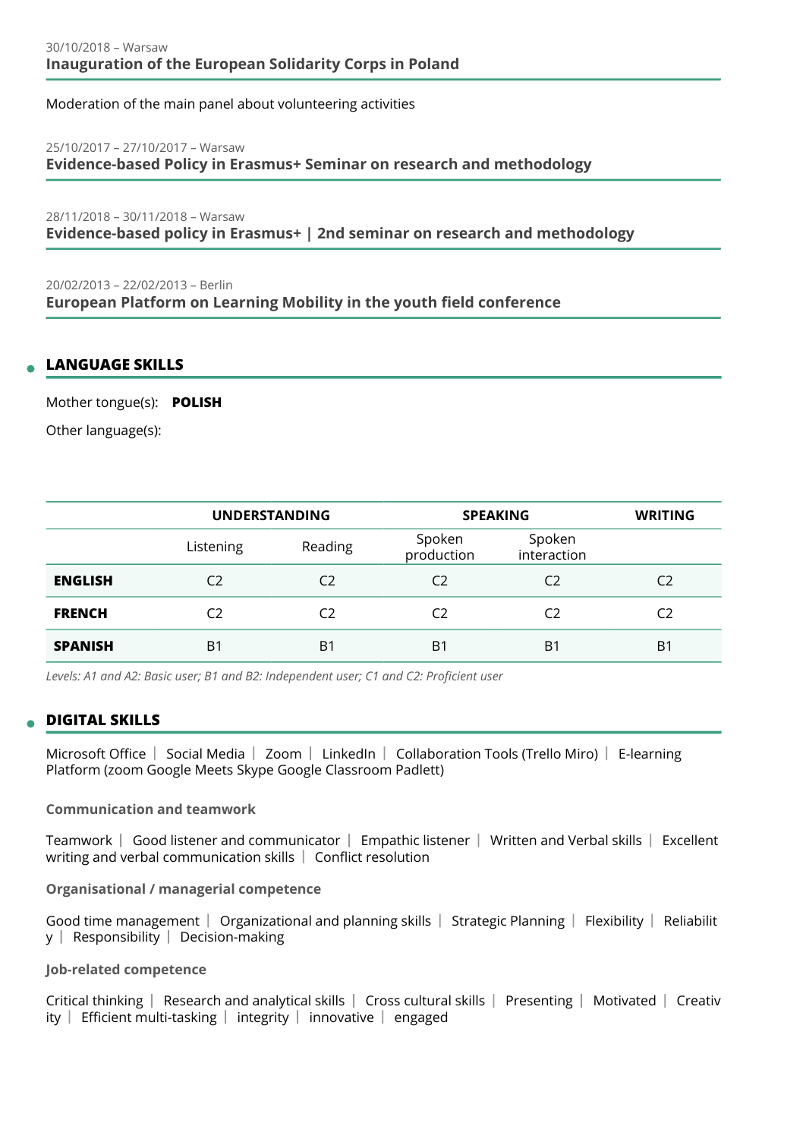Moderation of the main panel about volunteering activities

#### 25/10/2017 – 27/10/2017 – Warsaw

**Evidence-based Policy in Erasmus+ Seminar on research and methodology** 

28/11/2018 – 30/11/2018 – Warsaw **Evidence-based policy in Erasmus+ | 2nd seminar on research and methodology** 

20/02/2013 – 22/02/2013 – Berlin **European Platform on Learning Mobility in the youth field conference** 

# **LANGUAGE SKILLS**

Mother tongue(s): **POLISH**

Other language(s):

|                | <b>UNDERSTANDING</b> |                | <b>SPEAKING</b>      |                       | <b>WRITING</b> |
|----------------|----------------------|----------------|----------------------|-----------------------|----------------|
|                | Listening            | Reading        | Spoken<br>production | Spoken<br>interaction |                |
| <b>ENGLISH</b> | C <sub>2</sub>       | C2             | C <sub>2</sub>       | C <sub>2</sub>        | C2             |
| <b>FRENCH</b>  | C <sub>2</sub>       | C2             | C2                   | C2                    | C <sub>2</sub> |
| <b>SPANISH</b> | B <sub>1</sub>       | B <sub>1</sub> | B1                   | B <sub>1</sub>        | B <sub>1</sub> |

*Levels: A1 and A2: Basic user; B1 and B2: Independent user; C1 and C2: Proficient user*

# **DIGITAL SKILLS**

Microsoft Office | Social Media | Zoom | LinkedIn | Collaboration Tools (Trello Miro) | E-learning Platform (zoom Google Meets Skype Google Classroom Padlett)

### **Communication and teamwork**

Teamwork Good listener and communicator Empathic listener Written and Verbal skills Excellent writing and verbal communication skills | Conflict resolution

### **Organisational / managerial competence**

Good time management  $\vert$  Organizational and planning skills  $\vert$  Strategic Planning  $\vert$  Flexibility  $\vert$  Reliabilit  $y \mid$  Responsibility  $\mid$  Decision-making

# **Job-related competence**

Critical thinking Research and analytical skills Cross cultural skills Presenting Motivated Creativ ity  $\vert$  Efficient multi-tasking  $\vert$  integrity  $\vert$  innovative  $\vert$  engaged